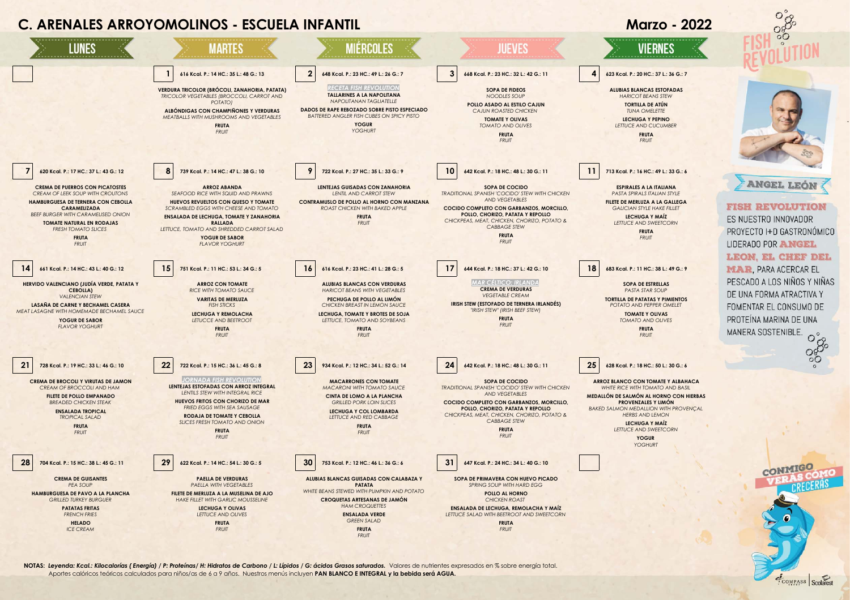

**NOTAS:** *Leyenda: Kcal.: Kilocalorías ( Energía) / P: Proteínas/ H: Hidratos de Carbono / L: Lípidos / G: ácidos Grasos saturados.*Valores de nutrientes expresados en % sobre energía total. Aportes calóricos teóricos calculados para niños/as de 6 a 9 años. Nuestros menús incluyen **PAN BLANCO E INTEGRAL y la bebida será AGUA.**

**ENSALADA VERDE** *GREEN SALAD* **FRUTA** *FRUIT*

*LETTUCE SALAD WITH BEETROOT AND SWEETCORN* **FRUTA** *FRUIT*

*LETTUCE AND OLIVES* **FRUTA** *FRUIT*

*FRENCH FRIES* **HELADO** *ICE CREAM*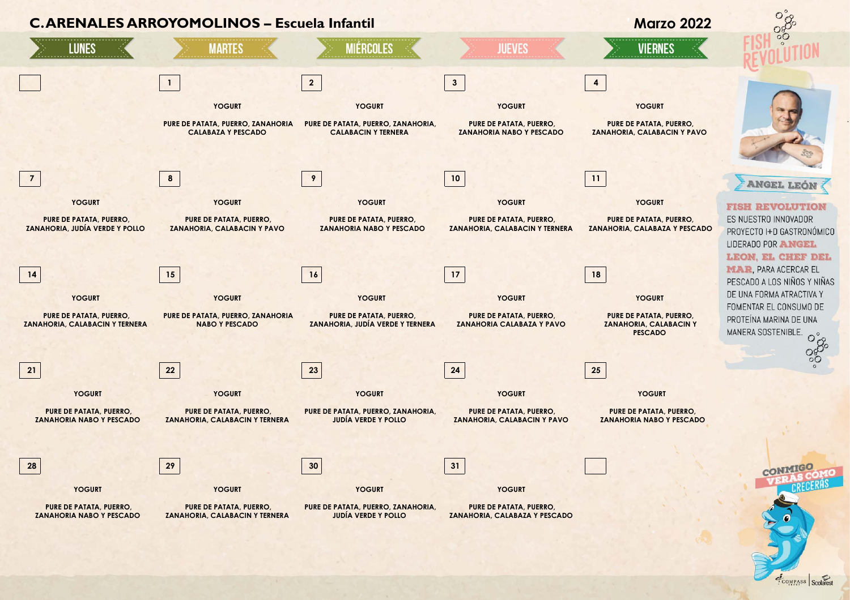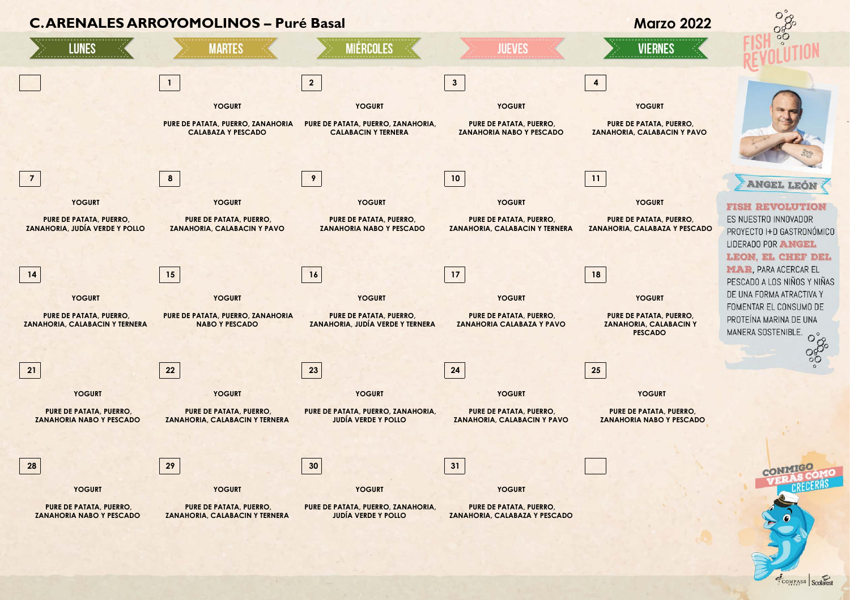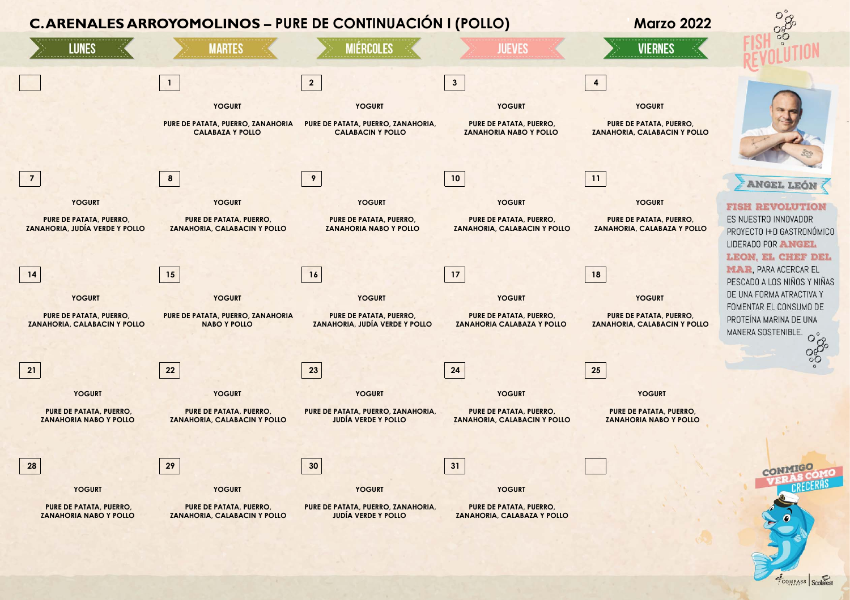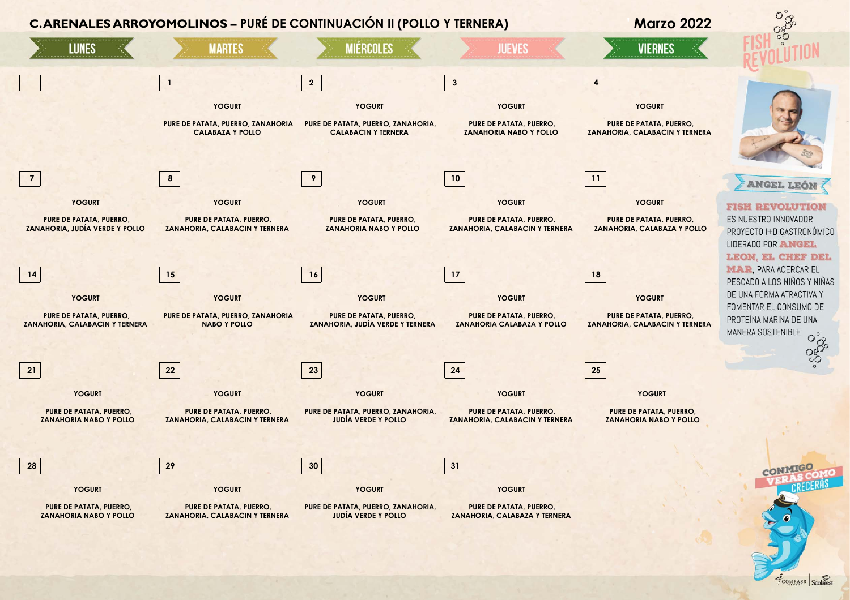